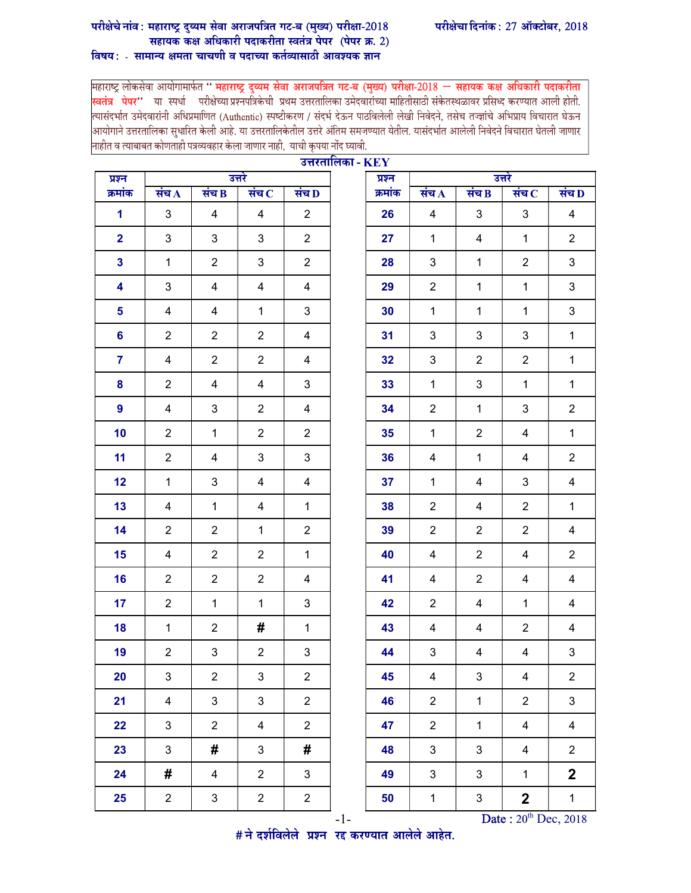## परीक्षेचे नांव : महाराष्ट्र दुय्यम सेवा अराजपत्रित गट-ब (मुख्य) परीक्षा-2018<br>सहायक कक्ष अधिकारी पदाकरीता स्वतंत्र पेपर (पेपर क्र. 2) विषय: - सामान्य क्षमता चाचणी व पदाच्या कर्तव्यासाठी आवश्यक ज्ञान

महाराष्ट्र लोकसेवा आयोगामार्फत " महाराष्ट्र दुव्यम सेवा अराजपत्रित गट-ब (मुख्य) परीक्षा-2018 — सहायक कक्ष अधिकारी पदाकरीता <mark>स्वतंत्र<sup>े</sup> पेपर''</mark> या स्पर्धा परीक्षेच्या प्रश्नपत्रिकेची प्रथम उत्तरतालिका उमेदवारांच्या माहितीसाठी संकेतस्थळावर प्रसिध्द करण्यात आली होती.<br>त्यासंदर्भात उमेदवारांनी अधिप्रमाणित (Authentic) स्पष्टीकरण / संदर्भ देऊन |<br>|आयोगाने उत्तरतालिका सुधारित केली आहे. या उत्तरतालिकेतील उत्तरे अंतिम समजण्यात येतील. यासंदर्भात आलेली निवेदने विचारात घेतली जाणार नाहीत व त्याबाबत कोणताही पत्रव्यवहार केला जाणार नाही, याची कृपया नोंद घ्यावी.

 $\overline{171337}$ 

| प्रश्न                  |                |                         | उत्तरे                  |                | $3\pi$ | प्रश्न  | उत्तरे                  |                |                |                    |  |
|-------------------------|----------------|-------------------------|-------------------------|----------------|--------|---------|-------------------------|----------------|----------------|--------------------|--|
| क्रमांक                 | संच $\bf{A}$   | संच $\overline{B}$      | संच $\,$                | संच D          |        | क्रमांक | संच $\bf{A}$            | संच $\bf{B}$   | संच $\,$ $\,$  | संच $\overline{D}$ |  |
| $\mathbf{1}$            | 3              | 4                       | $\overline{4}$          | $\overline{2}$ |        | 26      | $\overline{4}$          | 3              | 3              | $\overline{4}$     |  |
| $\overline{\mathbf{2}}$ | 3              | $\mathfrak{S}$          | 3                       | $\overline{2}$ |        | 27      | $\mathbf 1$             | 4              | $\mathbf{1}$   | $\overline{2}$     |  |
| $\mathbf{3}$            | $\mathbf{1}$   | $\overline{2}$          | 3                       | $\overline{2}$ |        | 28      | $\mathbf{3}$            | $\mathbf{1}$   | $\overline{2}$ | 3                  |  |
| 4                       | $\mathfrak{B}$ | $\overline{4}$          | 4                       | 4              |        | 29      | $\overline{2}$          | $\mathbf{1}$   | $\mathbf{1}$   | 3                  |  |
| $5\phantom{a}$          | $\overline{4}$ | $\overline{4}$          | $\mathbf{1}$            | 3              |        | 30      | $\mathbf{1}$            | $\mathbf{1}$   | $\mathbf{1}$   | 3                  |  |
| $6\phantom{a}$          | $\overline{2}$ | $\overline{2}$          | $\overline{2}$          | $\overline{4}$ |        | 31      | $\mathbf{3}$            | 3              | 3              | $\mathbf{1}$       |  |
| $\overline{7}$          | 4              | $\overline{2}$          | $\overline{2}$          | 4              |        | 32      | $\mathbf{3}$            | $\overline{2}$ | $\overline{2}$ | $\mathbf{1}$       |  |
| 8                       | $\overline{2}$ | 4                       | $\overline{4}$          | 3              |        | 33      | $\mathbf{1}$            | 3              | $\mathbf{1}$   | $\mathbf{1}$       |  |
| 9                       | $\overline{4}$ | $\mathbf{3}$            | $\overline{2}$          | 4              |        | 34      | $\overline{2}$          | $\mathbf{1}$   | 3              | $\overline{2}$     |  |
| 10                      | $\overline{2}$ | $\mathbf{1}$            | $\overline{2}$          | $\overline{2}$ |        | 35      | $\mathbf{1}$            | $\overline{2}$ | 4              | $\mathbf{1}$       |  |
| 11                      | $\overline{2}$ | $\overline{\mathbf{4}}$ | 3                       | $\mathbf{3}$   |        | 36      | $\overline{\mathbf{4}}$ | $\mathbf{1}$   | 4              | $\overline{2}$     |  |
| 12                      | $\mathbf{1}$   | $\mathsf 3$             | 4                       | 4              |        | 37      | $\mathbf 1$             | 4              | 3              | $\overline{4}$     |  |
| 13                      | $\overline{4}$ | $\mathbf{1}$            | 4                       | $\mathbf{1}$   |        | 38      | $\overline{2}$          | 4              | $\overline{2}$ | $\mathbf{1}$       |  |
| 14                      | $\overline{2}$ | $\overline{2}$          | $\mathbf{1}$            | $\overline{c}$ |        | 39      | $\overline{2}$          | $\overline{2}$ | $\overline{2}$ | $\overline{4}$     |  |
| 15                      | $\overline{4}$ | $\overline{2}$          | $\overline{2}$          | $\mathbf{1}$   |        | 40      | $\overline{4}$          | $\overline{2}$ | 4              | $\overline{2}$     |  |
| 16                      | $\overline{2}$ | $\overline{2}$          | $\overline{2}$          | $\overline{4}$ |        | 41      | $\overline{4}$          | $\overline{c}$ | 4              | $\overline{4}$     |  |
| 17                      | $\overline{2}$ | $\mathbf{1}$            | $\mathbf{1}$            | 3              |        | 42      | $\overline{2}$          | 4              | $\mathbf 1$    | $\overline{4}$     |  |
| 18                      | $\mathbf{1}$   | $\overline{2}$          | #                       | $\mathbf{1}$   |        | 43      | $\overline{4}$          | 4              | $\overline{2}$ | $\overline{4}$     |  |
| 19                      | $\overline{2}$ | $\mathbf{3}$            | $\overline{2}$          | $\mathbf{3}$   |        | 44      | $\mathbf{3}$            | 4              | 4              | 3                  |  |
| 20                      | $\mathfrak{B}$ | $\overline{2}$          | 3                       | $\overline{c}$ |        | 45      | $\overline{4}$          | 3              | 4              | $\overline{c}$     |  |
| 21                      | $\overline{4}$ | $\mathbf{3}$            | 3                       | $\overline{2}$ |        | 46      | $\overline{2}$          | $\mathbf{1}$   | $\overline{2}$ | $\mathfrak{S}$     |  |
| 22                      | 3              | $\overline{2}$          | 4                       | $\overline{2}$ |        | 47      | $\overline{2}$          | $\mathbf{1}$   | 4              | $\overline{4}$     |  |
| 23                      | $\mathbf{3}$   | $\#$                    | 3                       | #              |        | 48      | $\mathfrak{S}$          | 3              | $\overline{4}$ | $\overline{2}$     |  |
| 24                      | #              | $\overline{\mathbf{4}}$ | $\overline{2}$          | $\mathbf{3}$   |        | 49      | $\mathfrak{B}$          | 3              | $\mathbf{1}$   | $\mathbf 2$        |  |
| 25                      | $\overline{2}$ | $\mathfrak{S}$          | $\overline{\mathbf{c}}$ | $\overline{a}$ |        | 50      | $\mathbf{1}$            | $\mathbf{3}$   | $\mathbf 2$    | $\mathbf{1}$       |  |

 $\frac{1}{20^{th}}$  Date : 20<sup>th</sup> Dec, 2018<br>  $\frac{1}{20^{th}}$  Dec, 2018